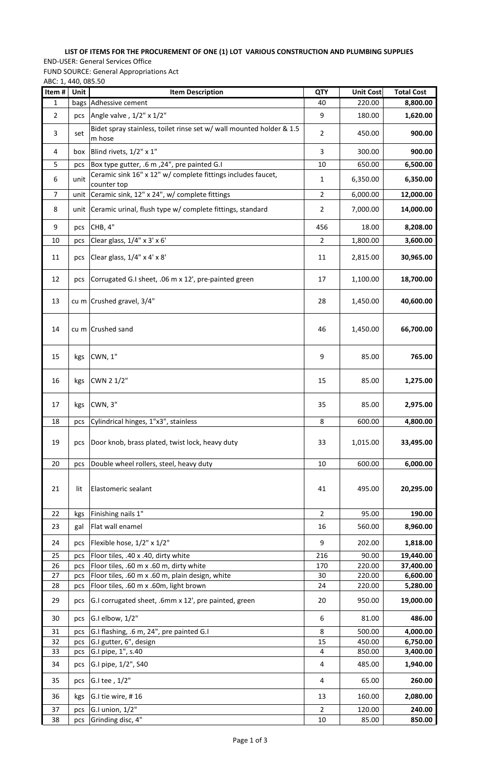## **LIST OF ITEMS FOR THE PROCUREMENT OF ONE (1) LOT VARIOUS CONSTRUCTION AND PLUMBING SUPPLIES**

## END-USER: General Services Office

FUND SOURCE: General Appropriations Act

ABC: 1, 440, 085.50

| Item#          | Unit | <b>Item Description</b>                                                        | QTY            | <b>Unit Cost</b> | <b>Total Cost</b> |
|----------------|------|--------------------------------------------------------------------------------|----------------|------------------|-------------------|
| 1              |      | bags Adhessive cement                                                          | 40             | 220.00           | 8,800.00          |
| $\overline{2}$ | pcs  | Angle valve, $1/2$ " x $1/2$ "                                                 | 9              | 180.00           | 1,620.00          |
| 3              | set  | Bidet spray stainless, toilet rinse set w/ wall mounted holder & 1.5<br>m hose | $\overline{2}$ | 450.00           | 900.00            |
| 4              | box  | Blind rivets, 1/2" x 1"                                                        | 3              | 300.00           | 900.00            |
| 5              | pcs  | Box type gutter, .6 m, 24", pre painted G.I                                    | 10             | 650.00           | 6,500.00          |
| 6              | unit | Ceramic sink 16" x 12" w/ complete fittings includes faucet,<br>counter top    | $\mathbf{1}$   | 6,350.00         | 6,350.00          |
| 7              |      | unit   Ceramic sink, 12" x 24", w/ complete fittings                           | $\overline{2}$ | 6,000.00         | 12,000.00         |
| 8              |      | unit Ceramic urinal, flush type w/ complete fittings, standard                 | $\overline{2}$ | 7,000.00         | 14,000.00         |
| 9              | pcs  | CHB, 4"                                                                        | 456            | 18.00            | 8,208.00          |
| 10             | pcs  | Clear glass, 1/4" x 3' x 6'                                                    | 2              | 1,800.00         | 3,600.00          |
| 11             | pcs  | Clear glass, 1/4" x 4' x 8'                                                    | 11             | 2,815.00         | 30,965.00         |
| 12             | pcs  | Corrugated G.I sheet, .06 m x 12', pre-painted green                           | 17             | 1,100.00         | 18,700.00         |
| 13             |      | cu m Crushed gravel, 3/4"                                                      | 28             | 1,450.00         | 40,600.00         |
| 14             |      | cu m Crushed sand                                                              | 46             | 1,450.00         | 66,700.00         |
| 15             | kgs  | CWN, 1"                                                                        | 9              | 85.00            | 765.00            |
| 16             | kgs  | CWN 2 1/2"                                                                     | 15             | 85.00            | 1,275.00          |
| 17             | kgs  | CWN, 3"                                                                        | 35             | 85.00            | 2,975.00          |
| 18             | pcs  | Cylindrical hinges, 1"x3", stainless                                           | 8              | 600.00           | 4,800.00          |
| 19             | pcs  | Door knob, brass plated, twist lock, heavy duty                                | 33             | 1,015.00         | 33,495.00         |
| 20             | pcs  | Double wheel rollers, steel, heavy duty                                        | 10             | 600.00           | 6,000.00          |
| 21             | lit  | Elastomeric sealant                                                            | 41             | 495.00           | 20,295.00         |
| 22             | kgs  | Finishing nails 1"                                                             | $\overline{2}$ | 95.00            | 190.00            |
| 23             | gal  | Flat wall enamel                                                               | 16             | 560.00           | 8,960.00          |
| 24             | pcs  | Flexible hose, 1/2" x 1/2"                                                     | 9              | 202.00           | 1,818.00          |
| 25             | pcs  | Floor tiles, .40 x .40, dirty white                                            | 216            | 90.00            | 19,440.00         |
| 26             | pcs  | Floor tiles, .60 m x .60 m, dirty white                                        | 170            | 220.00           | 37,400.00         |
| 27             | pcs  | Floor tiles, .60 m x .60 m, plain design, white                                | 30             | 220.00           | 6,600.00          |
| 28             | pcs  | Floor tiles, .60 m x .60m, light brown                                         | 24             | 220.00           | 5,280.00          |
| 29             | pcs  | G.I corrugated sheet, .6mm x 12', pre painted, green                           | 20             | 950.00           | 19,000.00         |
| 30             | pcs  | G.I elbow, 1/2"                                                                | 6              | 81.00            | 486.00            |
| 31             | pcs  | G.I flashing, .6 m, 24", pre painted G.I                                       | 8              | 500.00           | 4,000.00          |
| 32             | pcs  | G.I gutter, 6", design                                                         | 15             | 450.00           | 6,750.00          |
| 33             | pcs  | G.I pipe, 1", s.40                                                             | 4              | 850.00           | 3,400.00          |
| 34             | pcs  | G.I pipe, 1/2", S40                                                            | 4              | 485.00           | 1,940.00          |
| 35             | pcs  | G.I tee, 1/2"                                                                  | 4              | 65.00            | 260.00            |
| 36             | kgs  | G.I tie wire, #16                                                              | 13             | 160.00           | 2,080.00          |
| 37             | pcs  | G.I union, 1/2"                                                                | $\overline{2}$ | 120.00           | 240.00            |
| 38             | pcs  | Grinding disc, 4"                                                              | 10             | 85.00            | 850.00            |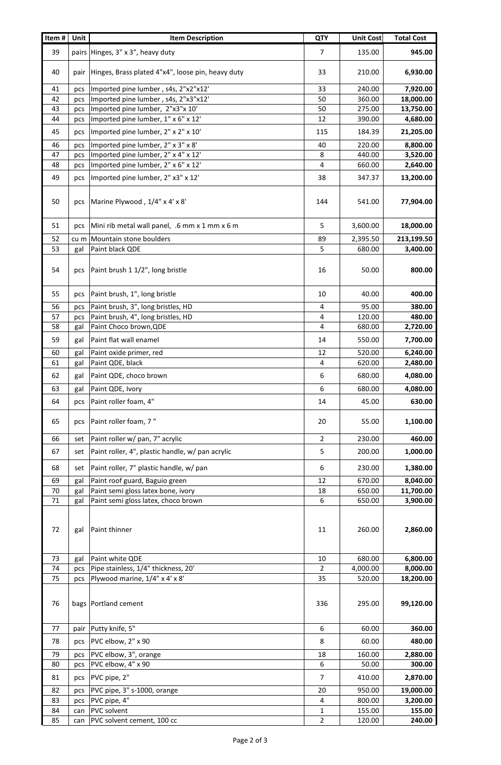| pairs Hinges, 3" x 3", heavy duty<br>39<br>$\overline{7}$<br>135.00<br>945.00<br>40<br>pair   Hinges, Brass plated 4"x4", loose pin, heavy duty<br>33<br>210.00<br>6,930.00<br>Imported pine lumber, s4s, 2"x2"x12'<br>240.00<br>7,920.00<br>33<br>41<br>pcs<br>Imported pine lumber, s4s, 2"x3"x12'<br>50<br>360.00<br>42<br>18,000.00<br>pcs<br>Imported pine lumber, 2"x3"x 10'<br>43<br>50<br>275.00<br>13,750.00<br>pcs<br>Imported pine lumber, 1" x 6" x 12'<br>12<br>44<br>390.00<br>4,680.00<br>pcs<br>Imported pine lumber, 2" x 2" x 10'<br>45<br>115<br>184.39<br>21,205.00<br>pcs<br>Imported pine lumber, 2" x 3" x 8'<br>220.00<br>46<br>40<br>8,800.00<br>pcs<br>Imported pine lumber, 2" x 4" x 12'<br>8<br>440.00<br>47<br>3,520.00<br>pcs<br>Imported pine lumber, 2" x 6" x 12'<br>4<br>48<br>660.00<br>2,640.00<br>pcs<br>Imported pine lumber, 2" x3" x 12'<br>49<br>38<br>347.37<br>13,200.00<br>pcs<br>Marine Plywood, 1/4" x 4' x 8'<br>50<br>144<br>77,904.00<br>541.00<br>pcs<br>5<br>Mini rib metal wall panel, .6 mm x 1 mm x 6 m<br>3,600.00<br>18,000.00<br>51<br>pcs<br>cu m Mountain stone boulders<br>2,395.50<br>213,199.50<br>52<br>89<br>5<br>53<br>Paint black QDE<br>3,400.00<br>680.00<br>gal<br>Paint brush 1 1/2", long bristle<br>16<br>54<br>50.00<br>800.00<br>pcs<br>Paint brush, 1", long bristle<br>10<br>400.00<br>55<br>40.00<br>pcs<br>Paint brush, 3", long bristles, HD<br>4<br>95.00<br>380.00<br>56<br>pcs<br>Paint brush, 4", long bristles, HD<br>4<br>120.00<br>57<br>480.00<br>pcs<br>4<br>58<br>Paint Choco brown, QDE<br>680.00<br>2,720.00<br>gal<br>Paint flat wall enamel<br>59<br>gal<br>14<br>550.00<br>7,700.00<br>60<br>Paint oxide primer, red<br>12<br>520.00<br>6,240.00<br>gal<br>Paint QDE, black<br>4<br>620.00<br>2,480.00<br>61<br>gal<br>6<br>680.00<br>4,080.00<br>62<br>Paint QDE, choco brown<br>gal<br>6<br>63<br>Paint QDE, Ivory<br>680.00<br>4,080.00<br>gal<br>64<br>Paint roller foam, 4"<br>45.00<br>630.00<br>14<br>pcs<br>Paint roller foam, 7"<br>65<br>20<br>55.00<br>1,100.00<br>pcs<br>Paint roller w/ pan, 7" acrylic<br>$\overline{2}$<br>230.00<br>460.00<br>66<br>set<br>Paint roller, 4", plastic handle, w/ pan acrylic<br>5<br>1,000.00<br>67<br>200.00<br>set<br>6<br>Paint roller, 7" plastic handle, w/ pan<br>230.00<br>1,380.00<br>68<br>set<br>12<br>670.00<br>8,040.00<br>69<br>Paint roof guard, Baguio green<br>gal<br>11,700.00<br>Paint semi gloss latex bone, ivory<br>18<br>650.00<br>70<br>gal<br>Paint semi gloss latex, choco brown<br>6<br>3,900.00<br>71<br>650.00<br>gal<br>72<br>Paint thinner<br>11<br>260.00<br>2,860.00<br>gal<br>Paint white QDE<br>680.00<br>6,800.00<br>73<br>gal<br>10<br>Pipe stainless, 1/4" thickness, 20'<br>$\overline{2}$<br>4,000.00<br>8,000.00<br>74<br>pcs<br>Plywood marine, 1/4" x 4' x 8'<br>35<br>18,200.00<br>75<br>520.00<br>pcs<br>76<br>bags   Portland cement<br>336<br>295.00<br>99,120.00<br>pair Putty knife, 5"<br>6<br>77<br>60.00<br>360.00<br>PVC elbow, 2" x 90<br>8<br>78<br>60.00<br>480.00<br>pcs<br>PVC elbow, 3", orange<br>160.00<br>79<br>18<br>2,880.00<br>pcs<br>PVC elbow, 4" x 90<br>6<br>80<br>50.00<br>300.00<br>pcs<br>PVC pipe, 2"<br>$\overline{7}$<br>81<br>410.00<br>2,870.00<br>pcs<br>PVC pipe, 3" s-1000, orange<br>950.00<br>82<br>20<br>19,000.00<br>pcs<br>PVC pipe, 4"<br>4<br>800.00<br>3,200.00<br>83<br>pcs<br><b>PVC</b> solvent<br>155.00<br>155.00<br>84<br>1<br>can<br>$\overline{2}$<br>PVC solvent cement, 100 cc<br>120.00<br>240.00<br>85<br>can | Item# | <b>Unit</b> | <b>Item Description</b> | QTY | <b>Unit Cost</b> | <b>Total Cost</b> |
|----------------------------------------------------------------------------------------------------------------------------------------------------------------------------------------------------------------------------------------------------------------------------------------------------------------------------------------------------------------------------------------------------------------------------------------------------------------------------------------------------------------------------------------------------------------------------------------------------------------------------------------------------------------------------------------------------------------------------------------------------------------------------------------------------------------------------------------------------------------------------------------------------------------------------------------------------------------------------------------------------------------------------------------------------------------------------------------------------------------------------------------------------------------------------------------------------------------------------------------------------------------------------------------------------------------------------------------------------------------------------------------------------------------------------------------------------------------------------------------------------------------------------------------------------------------------------------------------------------------------------------------------------------------------------------------------------------------------------------------------------------------------------------------------------------------------------------------------------------------------------------------------------------------------------------------------------------------------------------------------------------------------------------------------------------------------------------------------------------------------------------------------------------------------------------------------------------------------------------------------------------------------------------------------------------------------------------------------------------------------------------------------------------------------------------------------------------------------------------------------------------------------------------------------------------------------------------------------------------------------------------------------------------------------------------------------------------------------------------------------------------------------------------------------------------------------------------------------------------------------------------------------------------------------------------------------------------------------------------------------------------------------------------------------------------------------------------------------------------------------------------------------------------------------------------------------------------------------------------------------------------------------------------------------------------------------------------------------------------------------------------------------------------------------------------------------------------------------------------------------------------------------------------------------------------------|-------|-------------|-------------------------|-----|------------------|-------------------|
|                                                                                                                                                                                                                                                                                                                                                                                                                                                                                                                                                                                                                                                                                                                                                                                                                                                                                                                                                                                                                                                                                                                                                                                                                                                                                                                                                                                                                                                                                                                                                                                                                                                                                                                                                                                                                                                                                                                                                                                                                                                                                                                                                                                                                                                                                                                                                                                                                                                                                                                                                                                                                                                                                                                                                                                                                                                                                                                                                                                                                                                                                                                                                                                                                                                                                                                                                                                                                                                                                                                                                                |       |             |                         |     |                  |                   |
|                                                                                                                                                                                                                                                                                                                                                                                                                                                                                                                                                                                                                                                                                                                                                                                                                                                                                                                                                                                                                                                                                                                                                                                                                                                                                                                                                                                                                                                                                                                                                                                                                                                                                                                                                                                                                                                                                                                                                                                                                                                                                                                                                                                                                                                                                                                                                                                                                                                                                                                                                                                                                                                                                                                                                                                                                                                                                                                                                                                                                                                                                                                                                                                                                                                                                                                                                                                                                                                                                                                                                                |       |             |                         |     |                  |                   |
|                                                                                                                                                                                                                                                                                                                                                                                                                                                                                                                                                                                                                                                                                                                                                                                                                                                                                                                                                                                                                                                                                                                                                                                                                                                                                                                                                                                                                                                                                                                                                                                                                                                                                                                                                                                                                                                                                                                                                                                                                                                                                                                                                                                                                                                                                                                                                                                                                                                                                                                                                                                                                                                                                                                                                                                                                                                                                                                                                                                                                                                                                                                                                                                                                                                                                                                                                                                                                                                                                                                                                                |       |             |                         |     |                  |                   |
|                                                                                                                                                                                                                                                                                                                                                                                                                                                                                                                                                                                                                                                                                                                                                                                                                                                                                                                                                                                                                                                                                                                                                                                                                                                                                                                                                                                                                                                                                                                                                                                                                                                                                                                                                                                                                                                                                                                                                                                                                                                                                                                                                                                                                                                                                                                                                                                                                                                                                                                                                                                                                                                                                                                                                                                                                                                                                                                                                                                                                                                                                                                                                                                                                                                                                                                                                                                                                                                                                                                                                                |       |             |                         |     |                  |                   |
|                                                                                                                                                                                                                                                                                                                                                                                                                                                                                                                                                                                                                                                                                                                                                                                                                                                                                                                                                                                                                                                                                                                                                                                                                                                                                                                                                                                                                                                                                                                                                                                                                                                                                                                                                                                                                                                                                                                                                                                                                                                                                                                                                                                                                                                                                                                                                                                                                                                                                                                                                                                                                                                                                                                                                                                                                                                                                                                                                                                                                                                                                                                                                                                                                                                                                                                                                                                                                                                                                                                                                                |       |             |                         |     |                  |                   |
|                                                                                                                                                                                                                                                                                                                                                                                                                                                                                                                                                                                                                                                                                                                                                                                                                                                                                                                                                                                                                                                                                                                                                                                                                                                                                                                                                                                                                                                                                                                                                                                                                                                                                                                                                                                                                                                                                                                                                                                                                                                                                                                                                                                                                                                                                                                                                                                                                                                                                                                                                                                                                                                                                                                                                                                                                                                                                                                                                                                                                                                                                                                                                                                                                                                                                                                                                                                                                                                                                                                                                                |       |             |                         |     |                  |                   |
|                                                                                                                                                                                                                                                                                                                                                                                                                                                                                                                                                                                                                                                                                                                                                                                                                                                                                                                                                                                                                                                                                                                                                                                                                                                                                                                                                                                                                                                                                                                                                                                                                                                                                                                                                                                                                                                                                                                                                                                                                                                                                                                                                                                                                                                                                                                                                                                                                                                                                                                                                                                                                                                                                                                                                                                                                                                                                                                                                                                                                                                                                                                                                                                                                                                                                                                                                                                                                                                                                                                                                                |       |             |                         |     |                  |                   |
|                                                                                                                                                                                                                                                                                                                                                                                                                                                                                                                                                                                                                                                                                                                                                                                                                                                                                                                                                                                                                                                                                                                                                                                                                                                                                                                                                                                                                                                                                                                                                                                                                                                                                                                                                                                                                                                                                                                                                                                                                                                                                                                                                                                                                                                                                                                                                                                                                                                                                                                                                                                                                                                                                                                                                                                                                                                                                                                                                                                                                                                                                                                                                                                                                                                                                                                                                                                                                                                                                                                                                                |       |             |                         |     |                  |                   |
|                                                                                                                                                                                                                                                                                                                                                                                                                                                                                                                                                                                                                                                                                                                                                                                                                                                                                                                                                                                                                                                                                                                                                                                                                                                                                                                                                                                                                                                                                                                                                                                                                                                                                                                                                                                                                                                                                                                                                                                                                                                                                                                                                                                                                                                                                                                                                                                                                                                                                                                                                                                                                                                                                                                                                                                                                                                                                                                                                                                                                                                                                                                                                                                                                                                                                                                                                                                                                                                                                                                                                                |       |             |                         |     |                  |                   |
|                                                                                                                                                                                                                                                                                                                                                                                                                                                                                                                                                                                                                                                                                                                                                                                                                                                                                                                                                                                                                                                                                                                                                                                                                                                                                                                                                                                                                                                                                                                                                                                                                                                                                                                                                                                                                                                                                                                                                                                                                                                                                                                                                                                                                                                                                                                                                                                                                                                                                                                                                                                                                                                                                                                                                                                                                                                                                                                                                                                                                                                                                                                                                                                                                                                                                                                                                                                                                                                                                                                                                                |       |             |                         |     |                  |                   |
|                                                                                                                                                                                                                                                                                                                                                                                                                                                                                                                                                                                                                                                                                                                                                                                                                                                                                                                                                                                                                                                                                                                                                                                                                                                                                                                                                                                                                                                                                                                                                                                                                                                                                                                                                                                                                                                                                                                                                                                                                                                                                                                                                                                                                                                                                                                                                                                                                                                                                                                                                                                                                                                                                                                                                                                                                                                                                                                                                                                                                                                                                                                                                                                                                                                                                                                                                                                                                                                                                                                                                                |       |             |                         |     |                  |                   |
|                                                                                                                                                                                                                                                                                                                                                                                                                                                                                                                                                                                                                                                                                                                                                                                                                                                                                                                                                                                                                                                                                                                                                                                                                                                                                                                                                                                                                                                                                                                                                                                                                                                                                                                                                                                                                                                                                                                                                                                                                                                                                                                                                                                                                                                                                                                                                                                                                                                                                                                                                                                                                                                                                                                                                                                                                                                                                                                                                                                                                                                                                                                                                                                                                                                                                                                                                                                                                                                                                                                                                                |       |             |                         |     |                  |                   |
|                                                                                                                                                                                                                                                                                                                                                                                                                                                                                                                                                                                                                                                                                                                                                                                                                                                                                                                                                                                                                                                                                                                                                                                                                                                                                                                                                                                                                                                                                                                                                                                                                                                                                                                                                                                                                                                                                                                                                                                                                                                                                                                                                                                                                                                                                                                                                                                                                                                                                                                                                                                                                                                                                                                                                                                                                                                                                                                                                                                                                                                                                                                                                                                                                                                                                                                                                                                                                                                                                                                                                                |       |             |                         |     |                  |                   |
|                                                                                                                                                                                                                                                                                                                                                                                                                                                                                                                                                                                                                                                                                                                                                                                                                                                                                                                                                                                                                                                                                                                                                                                                                                                                                                                                                                                                                                                                                                                                                                                                                                                                                                                                                                                                                                                                                                                                                                                                                                                                                                                                                                                                                                                                                                                                                                                                                                                                                                                                                                                                                                                                                                                                                                                                                                                                                                                                                                                                                                                                                                                                                                                                                                                                                                                                                                                                                                                                                                                                                                |       |             |                         |     |                  |                   |
|                                                                                                                                                                                                                                                                                                                                                                                                                                                                                                                                                                                                                                                                                                                                                                                                                                                                                                                                                                                                                                                                                                                                                                                                                                                                                                                                                                                                                                                                                                                                                                                                                                                                                                                                                                                                                                                                                                                                                                                                                                                                                                                                                                                                                                                                                                                                                                                                                                                                                                                                                                                                                                                                                                                                                                                                                                                                                                                                                                                                                                                                                                                                                                                                                                                                                                                                                                                                                                                                                                                                                                |       |             |                         |     |                  |                   |
|                                                                                                                                                                                                                                                                                                                                                                                                                                                                                                                                                                                                                                                                                                                                                                                                                                                                                                                                                                                                                                                                                                                                                                                                                                                                                                                                                                                                                                                                                                                                                                                                                                                                                                                                                                                                                                                                                                                                                                                                                                                                                                                                                                                                                                                                                                                                                                                                                                                                                                                                                                                                                                                                                                                                                                                                                                                                                                                                                                                                                                                                                                                                                                                                                                                                                                                                                                                                                                                                                                                                                                |       |             |                         |     |                  |                   |
|                                                                                                                                                                                                                                                                                                                                                                                                                                                                                                                                                                                                                                                                                                                                                                                                                                                                                                                                                                                                                                                                                                                                                                                                                                                                                                                                                                                                                                                                                                                                                                                                                                                                                                                                                                                                                                                                                                                                                                                                                                                                                                                                                                                                                                                                                                                                                                                                                                                                                                                                                                                                                                                                                                                                                                                                                                                                                                                                                                                                                                                                                                                                                                                                                                                                                                                                                                                                                                                                                                                                                                |       |             |                         |     |                  |                   |
|                                                                                                                                                                                                                                                                                                                                                                                                                                                                                                                                                                                                                                                                                                                                                                                                                                                                                                                                                                                                                                                                                                                                                                                                                                                                                                                                                                                                                                                                                                                                                                                                                                                                                                                                                                                                                                                                                                                                                                                                                                                                                                                                                                                                                                                                                                                                                                                                                                                                                                                                                                                                                                                                                                                                                                                                                                                                                                                                                                                                                                                                                                                                                                                                                                                                                                                                                                                                                                                                                                                                                                |       |             |                         |     |                  |                   |
|                                                                                                                                                                                                                                                                                                                                                                                                                                                                                                                                                                                                                                                                                                                                                                                                                                                                                                                                                                                                                                                                                                                                                                                                                                                                                                                                                                                                                                                                                                                                                                                                                                                                                                                                                                                                                                                                                                                                                                                                                                                                                                                                                                                                                                                                                                                                                                                                                                                                                                                                                                                                                                                                                                                                                                                                                                                                                                                                                                                                                                                                                                                                                                                                                                                                                                                                                                                                                                                                                                                                                                |       |             |                         |     |                  |                   |
|                                                                                                                                                                                                                                                                                                                                                                                                                                                                                                                                                                                                                                                                                                                                                                                                                                                                                                                                                                                                                                                                                                                                                                                                                                                                                                                                                                                                                                                                                                                                                                                                                                                                                                                                                                                                                                                                                                                                                                                                                                                                                                                                                                                                                                                                                                                                                                                                                                                                                                                                                                                                                                                                                                                                                                                                                                                                                                                                                                                                                                                                                                                                                                                                                                                                                                                                                                                                                                                                                                                                                                |       |             |                         |     |                  |                   |
|                                                                                                                                                                                                                                                                                                                                                                                                                                                                                                                                                                                                                                                                                                                                                                                                                                                                                                                                                                                                                                                                                                                                                                                                                                                                                                                                                                                                                                                                                                                                                                                                                                                                                                                                                                                                                                                                                                                                                                                                                                                                                                                                                                                                                                                                                                                                                                                                                                                                                                                                                                                                                                                                                                                                                                                                                                                                                                                                                                                                                                                                                                                                                                                                                                                                                                                                                                                                                                                                                                                                                                |       |             |                         |     |                  |                   |
|                                                                                                                                                                                                                                                                                                                                                                                                                                                                                                                                                                                                                                                                                                                                                                                                                                                                                                                                                                                                                                                                                                                                                                                                                                                                                                                                                                                                                                                                                                                                                                                                                                                                                                                                                                                                                                                                                                                                                                                                                                                                                                                                                                                                                                                                                                                                                                                                                                                                                                                                                                                                                                                                                                                                                                                                                                                                                                                                                                                                                                                                                                                                                                                                                                                                                                                                                                                                                                                                                                                                                                |       |             |                         |     |                  |                   |
|                                                                                                                                                                                                                                                                                                                                                                                                                                                                                                                                                                                                                                                                                                                                                                                                                                                                                                                                                                                                                                                                                                                                                                                                                                                                                                                                                                                                                                                                                                                                                                                                                                                                                                                                                                                                                                                                                                                                                                                                                                                                                                                                                                                                                                                                                                                                                                                                                                                                                                                                                                                                                                                                                                                                                                                                                                                                                                                                                                                                                                                                                                                                                                                                                                                                                                                                                                                                                                                                                                                                                                |       |             |                         |     |                  |                   |
|                                                                                                                                                                                                                                                                                                                                                                                                                                                                                                                                                                                                                                                                                                                                                                                                                                                                                                                                                                                                                                                                                                                                                                                                                                                                                                                                                                                                                                                                                                                                                                                                                                                                                                                                                                                                                                                                                                                                                                                                                                                                                                                                                                                                                                                                                                                                                                                                                                                                                                                                                                                                                                                                                                                                                                                                                                                                                                                                                                                                                                                                                                                                                                                                                                                                                                                                                                                                                                                                                                                                                                |       |             |                         |     |                  |                   |
|                                                                                                                                                                                                                                                                                                                                                                                                                                                                                                                                                                                                                                                                                                                                                                                                                                                                                                                                                                                                                                                                                                                                                                                                                                                                                                                                                                                                                                                                                                                                                                                                                                                                                                                                                                                                                                                                                                                                                                                                                                                                                                                                                                                                                                                                                                                                                                                                                                                                                                                                                                                                                                                                                                                                                                                                                                                                                                                                                                                                                                                                                                                                                                                                                                                                                                                                                                                                                                                                                                                                                                |       |             |                         |     |                  |                   |
|                                                                                                                                                                                                                                                                                                                                                                                                                                                                                                                                                                                                                                                                                                                                                                                                                                                                                                                                                                                                                                                                                                                                                                                                                                                                                                                                                                                                                                                                                                                                                                                                                                                                                                                                                                                                                                                                                                                                                                                                                                                                                                                                                                                                                                                                                                                                                                                                                                                                                                                                                                                                                                                                                                                                                                                                                                                                                                                                                                                                                                                                                                                                                                                                                                                                                                                                                                                                                                                                                                                                                                |       |             |                         |     |                  |                   |
|                                                                                                                                                                                                                                                                                                                                                                                                                                                                                                                                                                                                                                                                                                                                                                                                                                                                                                                                                                                                                                                                                                                                                                                                                                                                                                                                                                                                                                                                                                                                                                                                                                                                                                                                                                                                                                                                                                                                                                                                                                                                                                                                                                                                                                                                                                                                                                                                                                                                                                                                                                                                                                                                                                                                                                                                                                                                                                                                                                                                                                                                                                                                                                                                                                                                                                                                                                                                                                                                                                                                                                |       |             |                         |     |                  |                   |
|                                                                                                                                                                                                                                                                                                                                                                                                                                                                                                                                                                                                                                                                                                                                                                                                                                                                                                                                                                                                                                                                                                                                                                                                                                                                                                                                                                                                                                                                                                                                                                                                                                                                                                                                                                                                                                                                                                                                                                                                                                                                                                                                                                                                                                                                                                                                                                                                                                                                                                                                                                                                                                                                                                                                                                                                                                                                                                                                                                                                                                                                                                                                                                                                                                                                                                                                                                                                                                                                                                                                                                |       |             |                         |     |                  |                   |
|                                                                                                                                                                                                                                                                                                                                                                                                                                                                                                                                                                                                                                                                                                                                                                                                                                                                                                                                                                                                                                                                                                                                                                                                                                                                                                                                                                                                                                                                                                                                                                                                                                                                                                                                                                                                                                                                                                                                                                                                                                                                                                                                                                                                                                                                                                                                                                                                                                                                                                                                                                                                                                                                                                                                                                                                                                                                                                                                                                                                                                                                                                                                                                                                                                                                                                                                                                                                                                                                                                                                                                |       |             |                         |     |                  |                   |
|                                                                                                                                                                                                                                                                                                                                                                                                                                                                                                                                                                                                                                                                                                                                                                                                                                                                                                                                                                                                                                                                                                                                                                                                                                                                                                                                                                                                                                                                                                                                                                                                                                                                                                                                                                                                                                                                                                                                                                                                                                                                                                                                                                                                                                                                                                                                                                                                                                                                                                                                                                                                                                                                                                                                                                                                                                                                                                                                                                                                                                                                                                                                                                                                                                                                                                                                                                                                                                                                                                                                                                |       |             |                         |     |                  |                   |
|                                                                                                                                                                                                                                                                                                                                                                                                                                                                                                                                                                                                                                                                                                                                                                                                                                                                                                                                                                                                                                                                                                                                                                                                                                                                                                                                                                                                                                                                                                                                                                                                                                                                                                                                                                                                                                                                                                                                                                                                                                                                                                                                                                                                                                                                                                                                                                                                                                                                                                                                                                                                                                                                                                                                                                                                                                                                                                                                                                                                                                                                                                                                                                                                                                                                                                                                                                                                                                                                                                                                                                |       |             |                         |     |                  |                   |
|                                                                                                                                                                                                                                                                                                                                                                                                                                                                                                                                                                                                                                                                                                                                                                                                                                                                                                                                                                                                                                                                                                                                                                                                                                                                                                                                                                                                                                                                                                                                                                                                                                                                                                                                                                                                                                                                                                                                                                                                                                                                                                                                                                                                                                                                                                                                                                                                                                                                                                                                                                                                                                                                                                                                                                                                                                                                                                                                                                                                                                                                                                                                                                                                                                                                                                                                                                                                                                                                                                                                                                |       |             |                         |     |                  |                   |
|                                                                                                                                                                                                                                                                                                                                                                                                                                                                                                                                                                                                                                                                                                                                                                                                                                                                                                                                                                                                                                                                                                                                                                                                                                                                                                                                                                                                                                                                                                                                                                                                                                                                                                                                                                                                                                                                                                                                                                                                                                                                                                                                                                                                                                                                                                                                                                                                                                                                                                                                                                                                                                                                                                                                                                                                                                                                                                                                                                                                                                                                                                                                                                                                                                                                                                                                                                                                                                                                                                                                                                |       |             |                         |     |                  |                   |
|                                                                                                                                                                                                                                                                                                                                                                                                                                                                                                                                                                                                                                                                                                                                                                                                                                                                                                                                                                                                                                                                                                                                                                                                                                                                                                                                                                                                                                                                                                                                                                                                                                                                                                                                                                                                                                                                                                                                                                                                                                                                                                                                                                                                                                                                                                                                                                                                                                                                                                                                                                                                                                                                                                                                                                                                                                                                                                                                                                                                                                                                                                                                                                                                                                                                                                                                                                                                                                                                                                                                                                |       |             |                         |     |                  |                   |
|                                                                                                                                                                                                                                                                                                                                                                                                                                                                                                                                                                                                                                                                                                                                                                                                                                                                                                                                                                                                                                                                                                                                                                                                                                                                                                                                                                                                                                                                                                                                                                                                                                                                                                                                                                                                                                                                                                                                                                                                                                                                                                                                                                                                                                                                                                                                                                                                                                                                                                                                                                                                                                                                                                                                                                                                                                                                                                                                                                                                                                                                                                                                                                                                                                                                                                                                                                                                                                                                                                                                                                |       |             |                         |     |                  |                   |
|                                                                                                                                                                                                                                                                                                                                                                                                                                                                                                                                                                                                                                                                                                                                                                                                                                                                                                                                                                                                                                                                                                                                                                                                                                                                                                                                                                                                                                                                                                                                                                                                                                                                                                                                                                                                                                                                                                                                                                                                                                                                                                                                                                                                                                                                                                                                                                                                                                                                                                                                                                                                                                                                                                                                                                                                                                                                                                                                                                                                                                                                                                                                                                                                                                                                                                                                                                                                                                                                                                                                                                |       |             |                         |     |                  |                   |
|                                                                                                                                                                                                                                                                                                                                                                                                                                                                                                                                                                                                                                                                                                                                                                                                                                                                                                                                                                                                                                                                                                                                                                                                                                                                                                                                                                                                                                                                                                                                                                                                                                                                                                                                                                                                                                                                                                                                                                                                                                                                                                                                                                                                                                                                                                                                                                                                                                                                                                                                                                                                                                                                                                                                                                                                                                                                                                                                                                                                                                                                                                                                                                                                                                                                                                                                                                                                                                                                                                                                                                |       |             |                         |     |                  |                   |
|                                                                                                                                                                                                                                                                                                                                                                                                                                                                                                                                                                                                                                                                                                                                                                                                                                                                                                                                                                                                                                                                                                                                                                                                                                                                                                                                                                                                                                                                                                                                                                                                                                                                                                                                                                                                                                                                                                                                                                                                                                                                                                                                                                                                                                                                                                                                                                                                                                                                                                                                                                                                                                                                                                                                                                                                                                                                                                                                                                                                                                                                                                                                                                                                                                                                                                                                                                                                                                                                                                                                                                |       |             |                         |     |                  |                   |
|                                                                                                                                                                                                                                                                                                                                                                                                                                                                                                                                                                                                                                                                                                                                                                                                                                                                                                                                                                                                                                                                                                                                                                                                                                                                                                                                                                                                                                                                                                                                                                                                                                                                                                                                                                                                                                                                                                                                                                                                                                                                                                                                                                                                                                                                                                                                                                                                                                                                                                                                                                                                                                                                                                                                                                                                                                                                                                                                                                                                                                                                                                                                                                                                                                                                                                                                                                                                                                                                                                                                                                |       |             |                         |     |                  |                   |
|                                                                                                                                                                                                                                                                                                                                                                                                                                                                                                                                                                                                                                                                                                                                                                                                                                                                                                                                                                                                                                                                                                                                                                                                                                                                                                                                                                                                                                                                                                                                                                                                                                                                                                                                                                                                                                                                                                                                                                                                                                                                                                                                                                                                                                                                                                                                                                                                                                                                                                                                                                                                                                                                                                                                                                                                                                                                                                                                                                                                                                                                                                                                                                                                                                                                                                                                                                                                                                                                                                                                                                |       |             |                         |     |                  |                   |
|                                                                                                                                                                                                                                                                                                                                                                                                                                                                                                                                                                                                                                                                                                                                                                                                                                                                                                                                                                                                                                                                                                                                                                                                                                                                                                                                                                                                                                                                                                                                                                                                                                                                                                                                                                                                                                                                                                                                                                                                                                                                                                                                                                                                                                                                                                                                                                                                                                                                                                                                                                                                                                                                                                                                                                                                                                                                                                                                                                                                                                                                                                                                                                                                                                                                                                                                                                                                                                                                                                                                                                |       |             |                         |     |                  |                   |
|                                                                                                                                                                                                                                                                                                                                                                                                                                                                                                                                                                                                                                                                                                                                                                                                                                                                                                                                                                                                                                                                                                                                                                                                                                                                                                                                                                                                                                                                                                                                                                                                                                                                                                                                                                                                                                                                                                                                                                                                                                                                                                                                                                                                                                                                                                                                                                                                                                                                                                                                                                                                                                                                                                                                                                                                                                                                                                                                                                                                                                                                                                                                                                                                                                                                                                                                                                                                                                                                                                                                                                |       |             |                         |     |                  |                   |
|                                                                                                                                                                                                                                                                                                                                                                                                                                                                                                                                                                                                                                                                                                                                                                                                                                                                                                                                                                                                                                                                                                                                                                                                                                                                                                                                                                                                                                                                                                                                                                                                                                                                                                                                                                                                                                                                                                                                                                                                                                                                                                                                                                                                                                                                                                                                                                                                                                                                                                                                                                                                                                                                                                                                                                                                                                                                                                                                                                                                                                                                                                                                                                                                                                                                                                                                                                                                                                                                                                                                                                |       |             |                         |     |                  |                   |
|                                                                                                                                                                                                                                                                                                                                                                                                                                                                                                                                                                                                                                                                                                                                                                                                                                                                                                                                                                                                                                                                                                                                                                                                                                                                                                                                                                                                                                                                                                                                                                                                                                                                                                                                                                                                                                                                                                                                                                                                                                                                                                                                                                                                                                                                                                                                                                                                                                                                                                                                                                                                                                                                                                                                                                                                                                                                                                                                                                                                                                                                                                                                                                                                                                                                                                                                                                                                                                                                                                                                                                |       |             |                         |     |                  |                   |
|                                                                                                                                                                                                                                                                                                                                                                                                                                                                                                                                                                                                                                                                                                                                                                                                                                                                                                                                                                                                                                                                                                                                                                                                                                                                                                                                                                                                                                                                                                                                                                                                                                                                                                                                                                                                                                                                                                                                                                                                                                                                                                                                                                                                                                                                                                                                                                                                                                                                                                                                                                                                                                                                                                                                                                                                                                                                                                                                                                                                                                                                                                                                                                                                                                                                                                                                                                                                                                                                                                                                                                |       |             |                         |     |                  |                   |
|                                                                                                                                                                                                                                                                                                                                                                                                                                                                                                                                                                                                                                                                                                                                                                                                                                                                                                                                                                                                                                                                                                                                                                                                                                                                                                                                                                                                                                                                                                                                                                                                                                                                                                                                                                                                                                                                                                                                                                                                                                                                                                                                                                                                                                                                                                                                                                                                                                                                                                                                                                                                                                                                                                                                                                                                                                                                                                                                                                                                                                                                                                                                                                                                                                                                                                                                                                                                                                                                                                                                                                |       |             |                         |     |                  |                   |
|                                                                                                                                                                                                                                                                                                                                                                                                                                                                                                                                                                                                                                                                                                                                                                                                                                                                                                                                                                                                                                                                                                                                                                                                                                                                                                                                                                                                                                                                                                                                                                                                                                                                                                                                                                                                                                                                                                                                                                                                                                                                                                                                                                                                                                                                                                                                                                                                                                                                                                                                                                                                                                                                                                                                                                                                                                                                                                                                                                                                                                                                                                                                                                                                                                                                                                                                                                                                                                                                                                                                                                |       |             |                         |     |                  |                   |